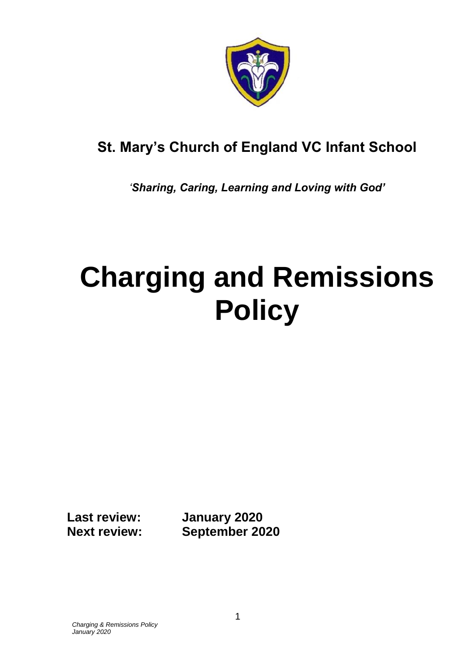

# **St. Mary's Church of England VC Infant School**

*'Sharing, Caring, Learning and Loving with God'*

# **Charging and Remissions Policy**

**Last review: January 2020 Next review: September 2020**

*Charging & Remissions Policy January 2020*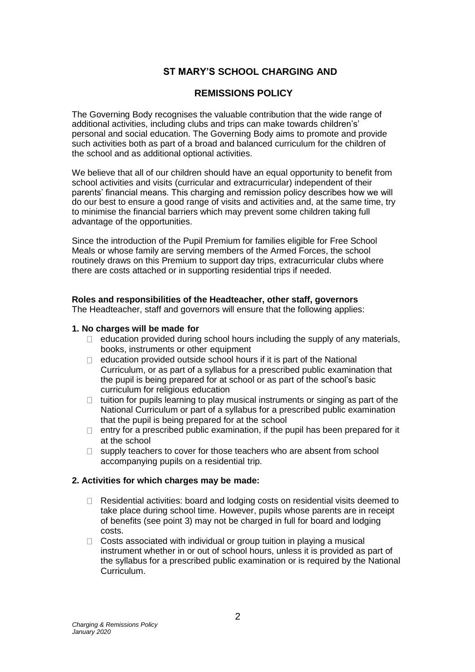# **ST MARY'S SCHOOL CHARGING AND**

# **REMISSIONS POLICY**

The Governing Body recognises the valuable contribution that the wide range of additional activities, including clubs and trips can make towards children's' personal and social education. The Governing Body aims to promote and provide such activities both as part of a broad and balanced curriculum for the children of the school and as additional optional activities.

We believe that all of our children should have an equal opportunity to benefit from school activities and visits (curricular and extracurricular) independent of their parents' financial means. This charging and remission policy describes how we will do our best to ensure a good range of visits and activities and, at the same time, try to minimise the financial barriers which may prevent some children taking full advantage of the opportunities.

Since the introduction of the Pupil Premium for families eligible for Free School Meals or whose family are serving members of the Armed Forces, the school routinely draws on this Premium to support day trips, extracurricular clubs where there are costs attached or in supporting residential trips if needed.

#### **Roles and responsibilities of the Headteacher, other staff, governors**

The Headteacher, staff and governors will ensure that the following applies:

## **1. No charges will be made for**

- $\Box$  education provided during school hours including the supply of any materials, books, instruments or other equipment
- $\Box$  education provided outside school hours if it is part of the National Curriculum, or as part of a syllabus for a prescribed public examination that the pupil is being prepared for at school or as part of the school's basic curriculum for religious education
- $\Box$  tuition for pupils learning to play musical instruments or singing as part of the National Curriculum or part of a syllabus for a prescribed public examination that the pupil is being prepared for at the school
- $\Box$  entry for a prescribed public examination, if the pupil has been prepared for it at the school
- $\Box$  supply teachers to cover for those teachers who are absent from school accompanying pupils on a residential trip.

# **2. Activities for which charges may be made:**

- $\Box$ Residential activities: board and lodging costs on residential visits deemed to take place during school time. However, pupils whose parents are in receipt of benefits (see point 3) may not be charged in full for board and lodging costs.
- $\Box$  Costs associated with individual or group tuition in playing a musical instrument whether in or out of school hours, unless it is provided as part of the syllabus for a prescribed public examination or is required by the National Curriculum.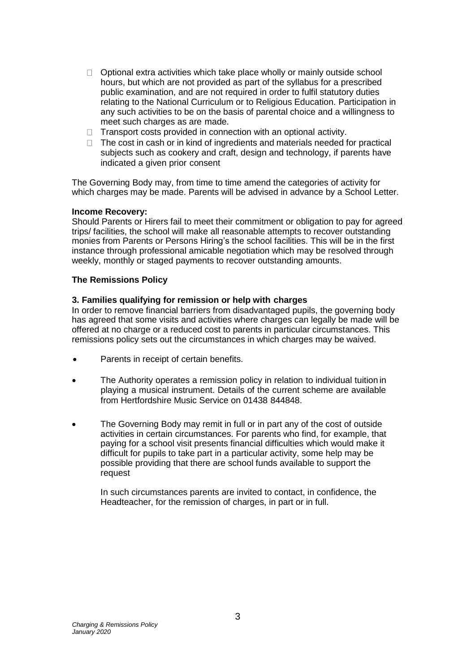- $\Box$  Optional extra activities which take place wholly or mainly outside school hours, but which are not provided as part of the syllabus for a prescribed public examination, and are not required in order to fulfil statutory duties relating to the National Curriculum or to Religious Education. Participation in any such activities to be on the basis of parental choice and a willingness to meet such charges as are made.
- $\Box$  Transport costs provided in connection with an optional activity.
- $\Box$  The cost in cash or in kind of ingredients and materials needed for practical subjects such as cookery and craft, design and technology, if parents have indicated a given prior consent

The Governing Body may, from time to time amend the categories of activity for which charges may be made. Parents will be advised in advance by a School Letter.

#### **Income Recovery:**

Should Parents or Hirers fail to meet their commitment or obligation to pay for agreed trips/ facilities, the school will make all reasonable attempts to recover outstanding monies from Parents or Persons Hiring's the school facilities. This will be in the first instance through professional amicable negotiation which may be resolved through weekly, monthly or staged payments to recover outstanding amounts.

#### **The Remissions Policy**

#### **3. Families qualifying for remission or help with charges**

In order to remove financial barriers from disadvantaged pupils, the governing body has agreed that some visits and activities where charges can legally be made will be offered at no charge or a reduced cost to parents in particular circumstances. This remissions policy sets out the circumstances in which charges may be waived.

- Parents in receipt of certain benefits.
- The Authority operates a remission policy in relation to individual tuition in playing a musical instrument. Details of the current scheme are available from Hertfordshire Music Service on 01438 844848.
- The Governing Body may remit in full or in part any of the cost of outside activities in certain circumstances. For parents who find, for example, that paying for a school visit presents financial difficulties which would make it difficult for pupils to take part in a particular activity, some help may be possible providing that there are school funds available to support the request

In such circumstances parents are invited to contact, in confidence, the Headteacher, for the remission of charges, in part or in full.